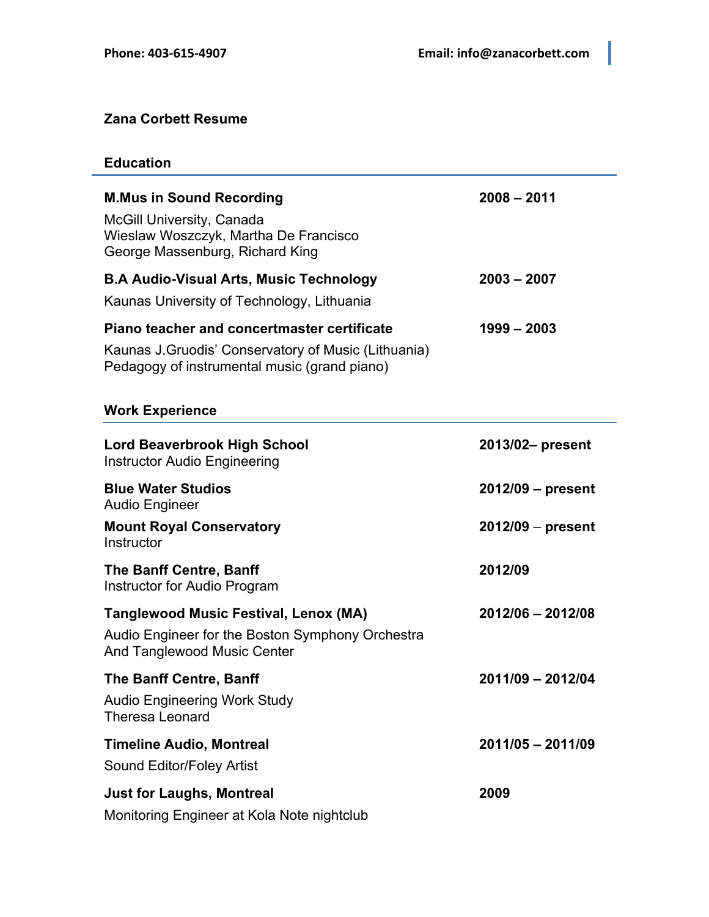## **Zana Corbett Resume**

## **Education**

| <b>M.Mus in Sound Recording</b><br><b>McGill University, Canada</b><br>Wieslaw Woszczyk, Martha De Francisco<br>George Massenburg, Richard King            | $2008 - 2011$       |
|------------------------------------------------------------------------------------------------------------------------------------------------------------|---------------------|
| <b>B.A Audio-Visual Arts, Music Technology</b>                                                                                                             | $2003 - 2007$       |
| Kaunas University of Technology, Lithuania                                                                                                                 |                     |
| <b>Piano teacher and concertmaster certificate</b><br>Kaunas J. Gruodis' Conservatory of Music (Lithuania)<br>Pedagogy of instrumental music (grand piano) | $1999 - 2003$       |
| <b>Work Experience</b>                                                                                                                                     |                     |
| <b>Lord Beaverbrook High School</b><br><b>Instructor Audio Engineering</b>                                                                                 | 2013/02- present    |
| <b>Blue Water Studios</b><br><b>Audio Engineer</b>                                                                                                         | 2012/09 - present   |
| <b>Mount Royal Conservatory</b><br>Instructor                                                                                                              | $2012/09$ – present |
| The Banff Centre, Banff<br>Instructor for Audio Program                                                                                                    | 2012/09             |
| <b>Tanglewood Music Festival, Lenox (MA)</b>                                                                                                               | 2012/06 - 2012/08   |
| Audio Engineer for the Boston Symphony Orchestra<br>And Tanglewood Music Center                                                                            |                     |
| The Banff Centre, Banff<br><b>Audio Engineering Work Study</b><br><b>Theresa Leonard</b>                                                                   | 2011/09 - 2012/04   |
| <b>Timeline Audio, Montreal</b><br>Sound Editor/Foley Artist                                                                                               | 2011/05 - 2011/09   |
| <b>Just for Laughs, Montreal</b><br>Monitoring Engineer at Kola Note nightclub                                                                             | 2009                |